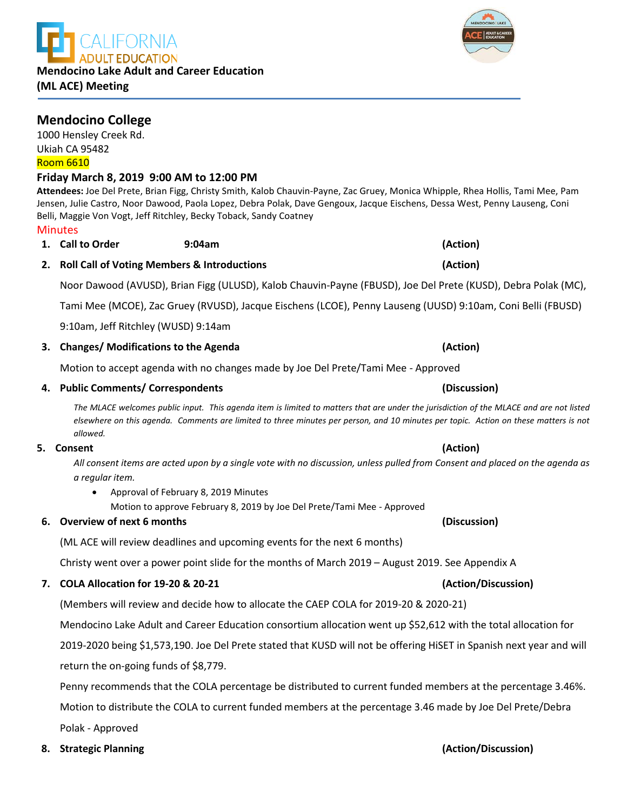

**Mendocino College** 

1000 Hensley Creek Rd. Ukiah CA 95482 Room 6610

**Minutes** 

# **Friday March 8, 2019 9:00 AM to 12:00 PM**

**Attendees:** Joe Del Prete, Brian Figg, Christy Smith, Kalob Chauvin-Payne, Zac Gruey, Monica Whipple, Rhea Hollis, Tami Mee, Pam Jensen, Julie Castro, Noor Dawood, Paola Lopez, Debra Polak, Dave Gengoux, Jacque Eischens, Dessa West, Penny Lauseng, Coni Belli, Maggie Von Vogt, Jeff Ritchley, Becky Toback, Sandy Coatney

**2. Roll Call of Voting Members & Introductions (Action)** Noor Dawood (AVUSD), Brian Figg (ULUSD), Kalob Chauvin-Payne (FBUSD), Joe Del Prete (KUSD), Debra Polak (MC),

Tami Mee (MCOE), Zac Gruey (RVUSD), Jacque Eischens (LCOE), Penny Lauseng (UUSD) 9:10am, Coni Belli (FBUSD)

9:10am, Jeff Ritchley (WUSD) 9:14am

## **3. Changes/ Modifications to the Agenda (Action)**

Motion to accept agenda with no changes made by Joe Del Prete/Tami Mee - Approved

**1. Call to Order 9:04am (Action)**

## **4. Public Comments/ Correspondents (Discussion)**

*The MLACE welcomes public input. This agenda item is limited to matters that are under the jurisdiction of the MLACE and are not listed elsewhere on this agenda. Comments are limited to three minutes per person, and 10 minutes per topic. Action on these matters is not allowed.*

## **5. Consent (Action)**

*All consent items are acted upon by a single vote with no discussion, unless pulled from Consent and placed on the agenda as a regular item.* 

• Approval of February 8, 2019 Minutes

Motion to approve February 8, 2019 by Joe Del Prete/Tami Mee - Approved

## **6. Overview of next 6 months (Discussion)**

(ML ACE will review deadlines and upcoming events for the next 6 months)

Christy went over a power point slide for the months of March 2019 – August 2019. See Appendix A

## **7. COLA Allocation for 19-20 & 20-21 (Action/Discussion)**

(Members will review and decide how to allocate the CAEP COLA for 2019-20 & 2020-21)

Mendocino Lake Adult and Career Education consortium allocation went up \$52,612 with the total allocation for

2019-2020 being \$1,573,190. Joe Del Prete stated that KUSD will not be offering HiSET in Spanish next year and will return the on-going funds of \$8,779.

Penny recommends that the COLA percentage be distributed to current funded members at the percentage 3.46%.

Motion to distribute the COLA to current funded members at the percentage 3.46 made by Joe Del Prete/Debra

Polak - Approved

# **Mendocino Lake Adult and Career Education (ML ACE) Meeting**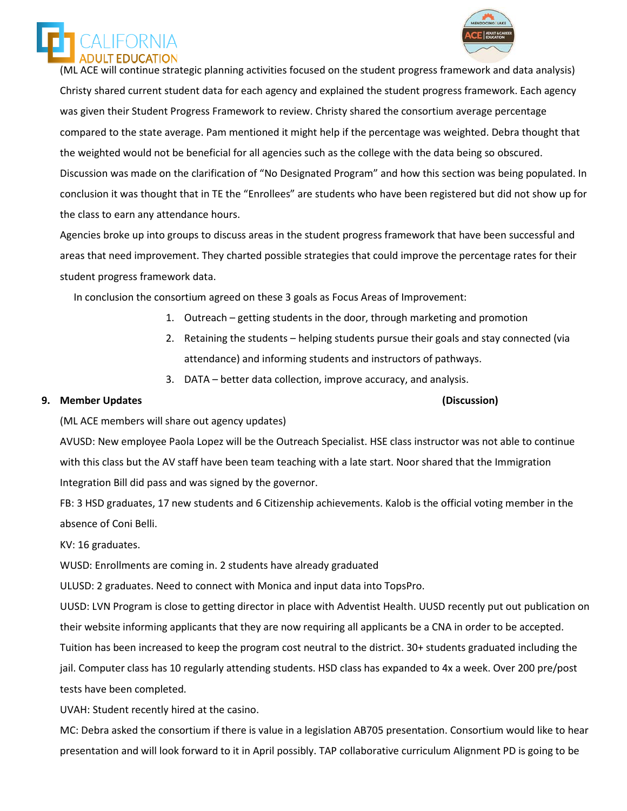



 (ML ACE will continue strategic planning activities focused on the student progress framework and data analysis) Christy shared current student data for each agency and explained the student progress framework. Each agency was given their Student Progress Framework to review. Christy shared the consortium average percentage compared to the state average. Pam mentioned it might help if the percentage was weighted. Debra thought that the weighted would not be beneficial for all agencies such as the college with the data being so obscured. Discussion was made on the clarification of "No Designated Program" and how this section was being populated. In conclusion it was thought that in TE the "Enrollees" are students who have been registered but did not show up for the class to earn any attendance hours.

Agencies broke up into groups to discuss areas in the student progress framework that have been successful and areas that need improvement. They charted possible strategies that could improve the percentage rates for their student progress framework data.

In conclusion the consortium agreed on these 3 goals as Focus Areas of Improvement:

- 1. Outreach getting students in the door, through marketing and promotion
- 2. Retaining the students helping students pursue their goals and stay connected (via attendance) and informing students and instructors of pathways.
- 3. DATA better data collection, improve accuracy, and analysis.

## **9. Member Updates (Discussion)**

(ML ACE members will share out agency updates)

AVUSD: New employee Paola Lopez will be the Outreach Specialist. HSE class instructor was not able to continue with this class but the AV staff have been team teaching with a late start. Noor shared that the Immigration Integration Bill did pass and was signed by the governor.

FB: 3 HSD graduates, 17 new students and 6 Citizenship achievements. Kalob is the official voting member in the absence of Coni Belli.

KV: 16 graduates.

WUSD: Enrollments are coming in. 2 students have already graduated

ULUSD: 2 graduates. Need to connect with Monica and input data into TopsPro.

UUSD: LVN Program is close to getting director in place with Adventist Health. UUSD recently put out publication on their website informing applicants that they are now requiring all applicants be a CNA in order to be accepted.

Tuition has been increased to keep the program cost neutral to the district. 30+ students graduated including the

jail. Computer class has 10 regularly attending students. HSD class has expanded to 4x a week. Over 200 pre/post tests have been completed.

UVAH: Student recently hired at the casino.

MC: Debra asked the consortium if there is value in a legislation AB705 presentation. Consortium would like to hear presentation and will look forward to it in April possibly. TAP collaborative curriculum Alignment PD is going to be